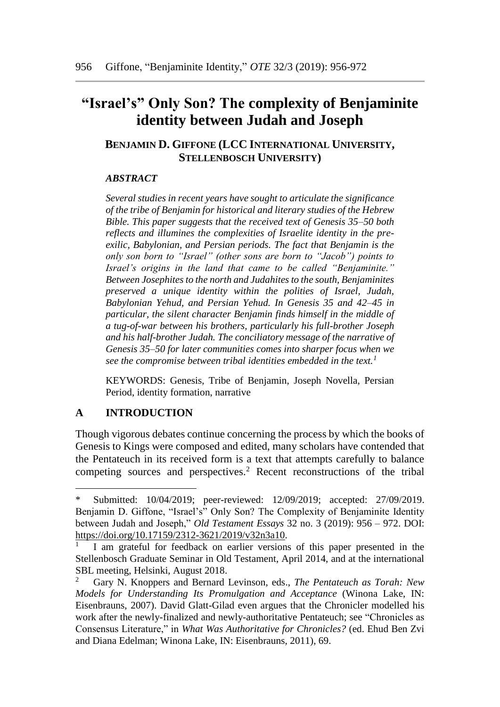# **"Israel's" Only Son? The complexity of Benjaminite identity between Judah and Joseph**

# **BENJAMIN D. GIFFONE (LCC INTERNATIONAL UNIVERSITY, STELLENBOSCH UNIVERSITY)**

### *ABSTRACT*

*Several studies in recent years have sought to articulate the significance of the tribe of Benjamin for historical and literary studies of the Hebrew Bible. This paper suggests that the received text of Genesis 35–50 both reflects and illumines the complexities of Israelite identity in the preexilic, Babylonian, and Persian periods. The fact that Benjamin is the only son born to "Israel" (other sons are born to "Jacob") points to Israel's origins in the land that came to be called "Benjaminite." Between Josephites to the north and Judahites to the south, Benjaminites preserved a unique identity within the polities of Israel, Judah, Babylonian Yehud, and Persian Yehud. In Genesis 35 and 42–45 in particular, the silent character Benjamin finds himself in the middle of a tug-of-war between his brothers, particularly his full-brother Joseph and his half-brother Judah. The conciliatory message of the narrative of Genesis 35–50 for later communities comes into sharper focus when we see the compromise between tribal identities embedded in the text.<sup>1</sup>*

KEYWORDS: Genesis, Tribe of Benjamin, Joseph Novella, Persian Period, identity formation, narrative

## **A INTRODUCTION**

l

Though vigorous debates continue concerning the process by which the books of Genesis to Kings were composed and edited, many scholars have contended that the Pentateuch in its received form is a text that attempts carefully to balance competing sources and perspectives.<sup>2</sup> Recent reconstructions of the tribal

<sup>\*</sup> Submitted: 10/04/2019; peer-reviewed: 12/09/2019; accepted: 27/09/2019. Benjamin D. Giffone, "Israel's" Only Son? The Complexity of Benjaminite Identity between Judah and Joseph," *Old Testament Essays* 32 no. 3 (2019): 956 – 972. DOI: [https://doi.org/10.17159/2312-3621/2019/v32n3a10.](https://doi.org/10.17159/2312-3621/2019/v32n3a10)

<sup>1</sup> I am grateful for feedback on earlier versions of this paper presented in the Stellenbosch Graduate Seminar in Old Testament, April 2014, and at the international SBL meeting, Helsinki, August 2018.

<sup>2</sup> Gary N. Knoppers and Bernard Levinson, eds., *The Pentateuch as Torah: New Models for Understanding Its Promulgation and Acceptance* (Winona Lake, IN: Eisenbrauns, 2007). David Glatt-Gilad even argues that the Chronicler modelled his work after the newly-finalized and newly-authoritative Pentateuch; see "Chronicles as Consensus Literature," in *What Was Authoritative for Chronicles?* (ed. Ehud Ben Zvi and Diana Edelman; Winona Lake, IN: Eisenbrauns, 2011), 69.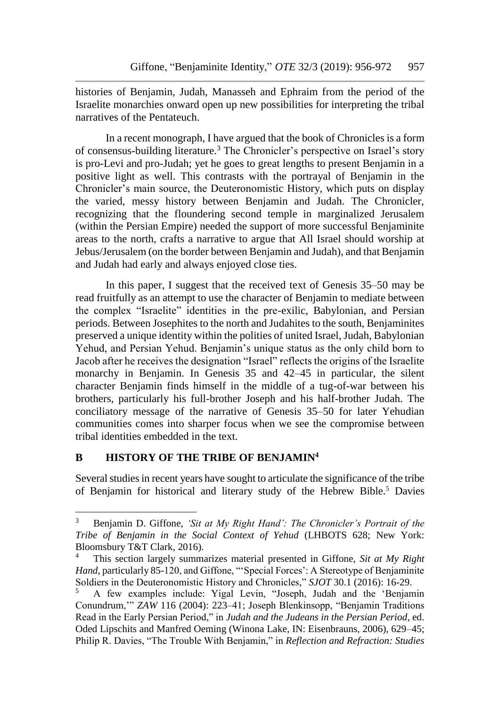histories of Benjamin, Judah, Manasseh and Ephraim from the period of the Israelite monarchies onward open up new possibilities for interpreting the tribal narratives of the Pentateuch.

In a recent monograph, I have argued that the book of Chronicles is a form of consensus-building literature.<sup>3</sup> The Chronicler's perspective on Israel's story is pro-Levi and pro-Judah; yet he goes to great lengths to present Benjamin in a positive light as well. This contrasts with the portrayal of Benjamin in the Chronicler's main source, the Deuteronomistic History, which puts on display the varied, messy history between Benjamin and Judah. The Chronicler, recognizing that the floundering second temple in marginalized Jerusalem (within the Persian Empire) needed the support of more successful Benjaminite areas to the north, crafts a narrative to argue that All Israel should worship at Jebus/Jerusalem (on the border between Benjamin and Judah), and that Benjamin and Judah had early and always enjoyed close ties.

In this paper, I suggest that the received text of Genesis 35–50 may be read fruitfully as an attempt to use the character of Benjamin to mediate between the complex "Israelite" identities in the pre-exilic, Babylonian, and Persian periods. Between Josephites to the north and Judahites to the south, Benjaminites preserved a unique identity within the polities of united Israel, Judah, Babylonian Yehud, and Persian Yehud. Benjamin's unique status as the only child born to Jacob after he receives the designation "Israel" reflects the origins of the Israelite monarchy in Benjamin. In Genesis 35 and 42–45 in particular, the silent character Benjamin finds himself in the middle of a tug-of-war between his brothers, particularly his full-brother Joseph and his half-brother Judah. The conciliatory message of the narrative of Genesis 35–50 for later Yehudian communities comes into sharper focus when we see the compromise between tribal identities embedded in the text.

## **B HISTORY OF THE TRIBE OF BENJAMIN<sup>4</sup>**

Several studies in recent years have sought to articulate the significance of the tribe of Benjamin for historical and literary study of the Hebrew Bible.<sup>5</sup> Davies

 $\overline{3}$ <sup>3</sup> Benjamin D. Giffone, *'Sit at My Right Hand': The Chronicler's Portrait of the Tribe of Benjamin in the Social Context of Yehud* (LHBOTS 628; New York: Bloomsbury T&T Clark, 2016).

<sup>4</sup> This section largely summarizes material presented in Giffone, *Sit at My Right Hand*, particularly 85-120, and Giffone, "'Special Forces': A Stereotype of Benjaminite Soldiers in the Deuteronomistic History and Chronicles," *SJOT* 30.1 (2016): 16-29.

<sup>5</sup> A few examples include: Yigal Levin, "Joseph, Judah and the 'Benjamin Conundrum,'" *ZAW* 116 (2004): 223–41; Joseph Blenkinsopp, "Benjamin Traditions Read in the Early Persian Period," in *Judah and the Judeans in the Persian Period*, ed. Oded Lipschits and Manfred Oeming (Winona Lake, IN: Eisenbrauns, 2006), 629–45; Philip R. Davies, "The Trouble With Benjamin," in *Reflection and Refraction: Studies*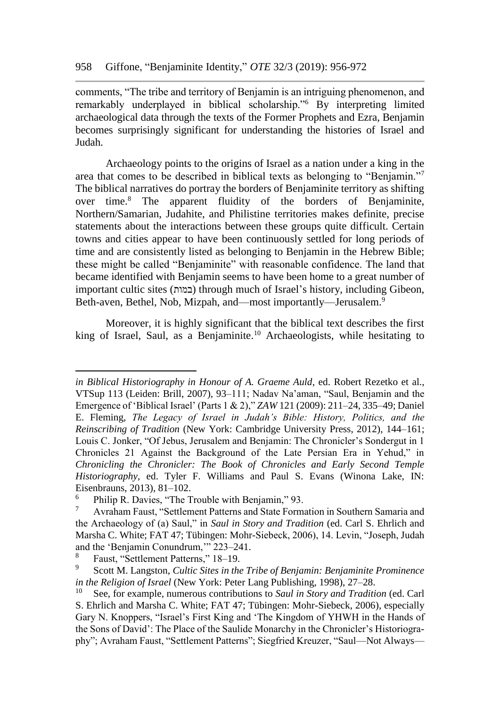comments, "The tribe and territory of Benjamin is an intriguing phenomenon, and remarkably underplayed in biblical scholarship."<sup>6</sup> By interpreting limited archaeological data through the texts of the Former Prophets and Ezra, Benjamin becomes surprisingly significant for understanding the histories of Israel and Judah.

Archaeology points to the origins of Israel as a nation under a king in the area that comes to be described in biblical texts as belonging to "Benjamin."<sup>7</sup> The biblical narratives do portray the borders of Benjaminite territory as shifting over time.<sup>8</sup> The apparent fluidity of the borders of Benjaminite, Northern/Samarian, Judahite, and Philistine territories makes definite, precise statements about the interactions between these groups quite difficult. Certain towns and cities appear to have been continuously settled for long periods of time and are consistently listed as belonging to Benjamin in the Hebrew Bible; these might be called "Benjaminite" with reasonable confidence. The land that became identified with Benjamin seems to have been home to a great number of important cultic sites (במות (through much of Israel's history, including Gibeon, Beth-aven, Bethel, Nob, Mizpah, and—most importantly—Jerusalem.<sup>9</sup>

Moreover, it is highly significant that the biblical text describes the first king of Israel, Saul, as a Benjaminite.<sup>10</sup> Archaeologists, while hesitating to

*in Biblical Historiography in Honour of A. Graeme Auld*, ed. Robert Rezetko et al., VTSup 113 (Leiden: Brill, 2007), 93–111; Nadav Na'aman, "Saul, Benjamin and the Emergence of 'Biblical Israel' (Parts 1 & 2)," *ZAW* 121 (2009): 211–24, 335–49; Daniel E. Fleming, *The Legacy of Israel in Judah's Bible: History, Politics, and the Reinscribing of Tradition* (New York: Cambridge University Press, 2012), 144–161; Louis C. Jonker, "Of Jebus, Jerusalem and Benjamin: The Chronicler's Sondergut in 1 Chronicles 21 Against the Background of the Late Persian Era in Yehud," in *Chronicling the Chronicler: The Book of Chronicles and Early Second Temple Historiography*, ed. Tyler F. Williams and Paul S. Evans (Winona Lake, IN: Eisenbrauns, 2013), 81–102.

<sup>&</sup>lt;sup>6</sup> Philip R. Davies, "The Trouble with Benjamin," 93.

<sup>7</sup> Avraham Faust, "Settlement Patterns and State Formation in Southern Samaria and the Archaeology of (a) Saul," in *Saul in Story and Tradition* (ed. Carl S. Ehrlich and Marsha C. White; FAT 47; Tübingen: Mohr-Siebeck, 2006), 14. Levin, "Joseph, Judah and the 'Benjamin Conundrum,'" 223–241.

 $\frac{8}{9}$  Faust, "Settlement Patterns," 18–19.

<sup>9</sup> Scott M. Langston, *Cultic Sites in the Tribe of Benjamin: Benjaminite Prominence in the Religion of Israel* (New York: Peter Lang Publishing, 1998), 27–28.

<sup>10</sup> See, for example, numerous contributions to *Saul in Story and Tradition* (ed. Carl S. Ehrlich and Marsha C. White; FAT 47; Tübingen: Mohr-Siebeck, 2006), especially Gary N. Knoppers, "Israel's First King and 'The Kingdom of YHWH in the Hands of the Sons of David': The Place of the Saulide Monarchy in the Chronicler's Historiography"; Avraham Faust, "Settlement Patterns"; Siegfried Kreuzer, "Saul—Not Always—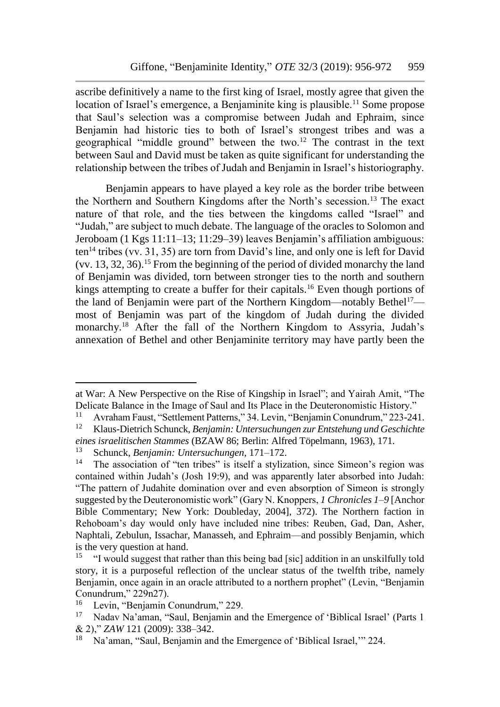ascribe definitively a name to the first king of Israel, mostly agree that given the location of Israel's emergence, a Benjaminite king is plausible.<sup>11</sup> Some propose that Saul's selection was a compromise between Judah and Ephraim, since Benjamin had historic ties to both of Israel's strongest tribes and was a geographical "middle ground" between the two.<sup>12</sup> The contrast in the text between Saul and David must be taken as quite significant for understanding the relationship between the tribes of Judah and Benjamin in Israel's historiography.

Benjamin appears to have played a key role as the border tribe between the Northern and Southern Kingdoms after the North's secession.<sup>13</sup> The exact nature of that role, and the ties between the kingdoms called "Israel" and "Judah," are subject to much debate. The language of the oracles to Solomon and Jeroboam (1 Kgs 11:11–13; 11:29–39) leaves Benjamin's affiliation ambiguous:  $ten<sup>14</sup>$  tribes (vv. 31, 35) are torn from David's line, and only one is left for David (vv. 13, 32, 36).<sup>15</sup> From the beginning of the period of divided monarchy the land of Benjamin was divided, torn between stronger ties to the north and southern kings attempting to create a buffer for their capitals.<sup>16</sup> Even though portions of the land of Benjamin were part of the Northern Kingdom—notably Bethel<sup>17</sup> most of Benjamin was part of the kingdom of Judah during the divided monarchy.<sup>18</sup> After the fall of the Northern Kingdom to Assyria, Judah's annexation of Bethel and other Benjaminite territory may have partly been the

l

at War: A New Perspective on the Rise of Kingship in Israel"; and Yairah Amit, "The Delicate Balance in the Image of Saul and Its Place in the Deuteronomistic History."

<sup>&</sup>lt;sup>11</sup> Avraham Faust, "Settlement Patterns," 34. Levin, "Benjamin Conundrum," 223-241.<br><sup>12</sup> Klaus-Dietrich Schunck, *Benjamin: Untersuchungen zur Entstehung und Geschichte* 

<sup>12</sup> Klaus-Dietrich Schunck, *Benjamin: Untersuchungen zur Entstehung und Geschichte eines israelitischen Stammes* (BZAW 86; Berlin: Alfred Töpelmann, 1963), 171.

<sup>&</sup>lt;sup>13</sup> Schunck, *Benjamin: Untersuchungen*, 171–172.<br><sup>14</sup> The association of "ten tribes" is itself a styliz

The association of "ten tribes" is itself a stylization, since Simeon's region was contained within Judah's (Josh 19:9), and was apparently later absorbed into Judah: "The pattern of Judahite domination over and even absorption of Simeon is strongly suggested by the Deuteronomistic work" (Gary N. Knoppers, *1 Chronicles 1–9* [Anchor Bible Commentary; New York: Doubleday, 2004], 372). The Northern faction in Rehoboam's day would only have included nine tribes: Reuben, Gad, Dan, Asher, Naphtali, Zebulun, Issachar, Manasseh, and Ephraim—and possibly Benjamin, which is the very question at hand.

<sup>15</sup> "I would suggest that rather than this being bad [sic] addition in an unskilfully told story, it is a purposeful reflection of the unclear status of the twelfth tribe, namely Benjamin, once again in an oracle attributed to a northern prophet" (Levin, "Benjamin Conundrum," 229n27).

Levin, "Benjamin Conundrum," 229.

<sup>&</sup>lt;sup>17</sup> Nadav Na'aman, "Saul, Benjamin and the Emergence of 'Biblical Israel' (Parts 1 & 2)," *ZAW* 121 (2009): 338–342.

<sup>&</sup>lt;sup>18</sup> Na'aman, "Saul, Benjamin and the Emergence of 'Biblical Israel,'" 224.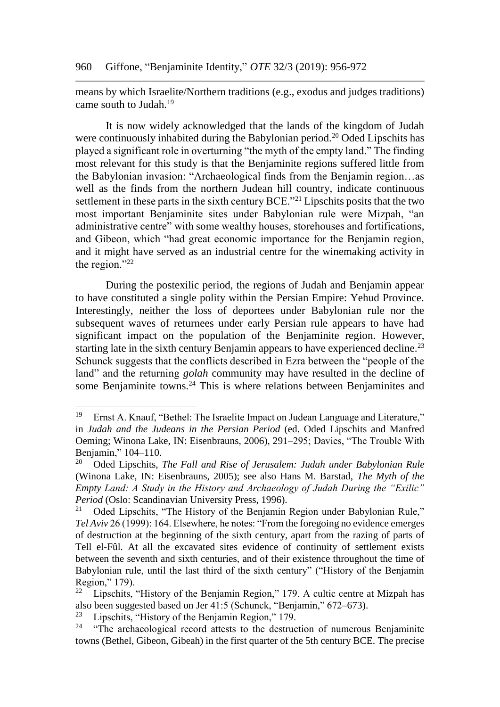means by which Israelite/Northern traditions (e.g., exodus and judges traditions) came south to Judah.<sup>19</sup>

It is now widely acknowledged that the lands of the kingdom of Judah were continuously inhabited during the Babylonian period.<sup>20</sup> Oded Lipschits has played a significant role in overturning "the myth of the empty land." The finding most relevant for this study is that the Benjaminite regions suffered little from the Babylonian invasion: "Archaeological finds from the Benjamin region…as well as the finds from the northern Judean hill country, indicate continuous settlement in these parts in the sixth century BCE."<sup>21</sup> Lipschits posits that the two most important Benjaminite sites under Babylonian rule were Mizpah, "an administrative centre" with some wealthy houses, storehouses and fortifications, and Gibeon, which "had great economic importance for the Benjamin region, and it might have served as an industrial centre for the winemaking activity in the region."<sup>22</sup>

During the postexilic period, the regions of Judah and Benjamin appear to have constituted a single polity within the Persian Empire: Yehud Province. Interestingly, neither the loss of deportees under Babylonian rule nor the subsequent waves of returnees under early Persian rule appears to have had significant impact on the population of the Benjaminite region. However, starting late in the sixth century Benjamin appears to have experienced decline.<sup>23</sup> Schunck suggests that the conflicts described in Ezra between the "people of the land" and the returning *golah* community may have resulted in the decline of some Benjaminite towns.<sup>24</sup> This is where relations between Benjaminites and

<sup>19</sup> Ernst A. Knauf, "Bethel: The Israelite Impact on Judean Language and Literature," in *Judah and the Judeans in the Persian Period* (ed. Oded Lipschits and Manfred Oeming; Winona Lake, IN: Eisenbrauns, 2006), 291–295; Davies, "The Trouble With Benjamin," 104–110.

<sup>20</sup> Oded Lipschits, *The Fall and Rise of Jerusalem: Judah under Babylonian Rule* (Winona Lake, IN: Eisenbrauns, 2005); see also Hans M. Barstad, *The Myth of the Empty Land: A Study in the History and Archaeology of Judah During the "Exilic" Period* (Oslo: Scandinavian University Press, 1996).<br><sup>21</sup> Oded Linschits "The History of the Benjamin"

Oded Lipschits, "The History of the Benjamin Region under Babylonian Rule," *Tel Aviv* 26 (1999): 164. Elsewhere, he notes: "From the foregoing no evidence emerges of destruction at the beginning of the sixth century, apart from the razing of parts of Tell el-Fûl. At all the excavated sites evidence of continuity of settlement exists between the seventh and sixth centuries, and of their existence throughout the time of Babylonian rule, until the last third of the sixth century" ("History of the Benjamin Region,"  $179$ ).<br> $22 \tIineschits$ 

Lipschits, "History of the Benjamin Region," 179. A cultic centre at Mizpah has also been suggested based on Jer 41:5 (Schunck, "Benjamin," 672–673).

<sup>&</sup>lt;sup>23</sup> Lipschits, "History of the Benjamin Region," 179.<br><sup>24</sup> "The archaeological regard attacts to the destrue

<sup>&</sup>quot;The archaeological record attests to the destruction of numerous Benjaminite towns (Bethel, Gibeon, Gibeah) in the first quarter of the 5th century BCE. The precise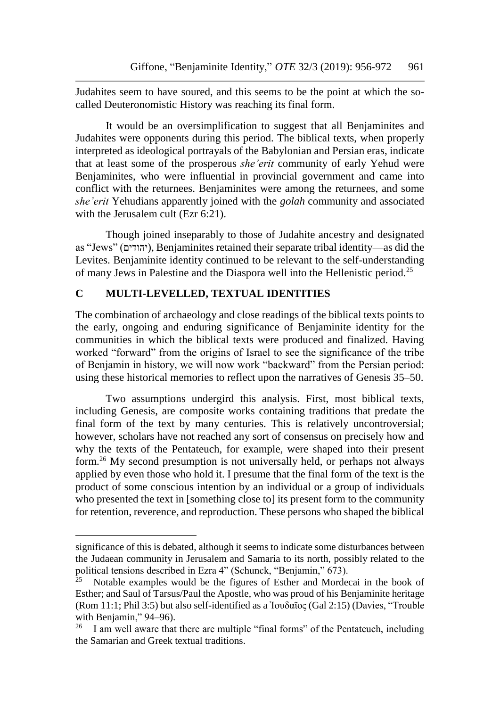Judahites seem to have soured, and this seems to be the point at which the socalled Deuteronomistic History was reaching its final form.

It would be an oversimplification to suggest that all Benjaminites and Judahites were opponents during this period. The biblical texts, when properly interpreted as ideological portrayals of the Babylonian and Persian eras, indicate that at least some of the prosperous *she'erit* community of early Yehud were Benjaminites, who were influential in provincial government and came into conflict with the returnees. Benjaminites were among the returnees, and some *she'erit* Yehudians apparently joined with the *golah* community and associated with the Jerusalem cult (Ezr 6:21).

Though joined inseparably to those of Judahite ancestry and designated as "Jews" (יהודים), Benjaminites retained their separate tribal identity—as did the Levites. Benjaminite identity continued to be relevant to the self-understanding of many Jews in Palestine and the Diaspora well into the Hellenistic period.<sup>25</sup>

# **C MULTI-LEVELLED, TEXTUAL IDENTITIES**

 $\overline{a}$ 

The combination of archaeology and close readings of the biblical texts points to the early, ongoing and enduring significance of Benjaminite identity for the communities in which the biblical texts were produced and finalized. Having worked "forward" from the origins of Israel to see the significance of the tribe of Benjamin in history, we will now work "backward" from the Persian period: using these historical memories to reflect upon the narratives of Genesis 35–50.

Two assumptions undergird this analysis. First, most biblical texts, including Genesis, are composite works containing traditions that predate the final form of the text by many centuries. This is relatively uncontroversial; however, scholars have not reached any sort of consensus on precisely how and why the texts of the Pentateuch, for example, were shaped into their present form.<sup>26</sup> My second presumption is not universally held, or perhaps not always applied by even those who hold it. I presume that the final form of the text is the product of some conscious intention by an individual or a group of individuals who presented the text in [something close to] its present form to the community for retention, reverence, and reproduction. These persons who shaped the biblical

significance of this is debated, although it seems to indicate some disturbances between the Judaean community in Jerusalem and Samaria to its north, possibly related to the political tensions described in Ezra 4" (Schunck, "Benjamin," 673).<br><sup>25</sup> Notable examples were 111.

<sup>25</sup> Notable examples would be the figures of Esther and Mordecai in the book of Esther; and Saul of Tarsus/Paul the Apostle, who was proud of his Benjaminite heritage (Rom 11:1; Phil 3:5) but also self-identified as a Ἰουδαῖος (Gal 2:15) (Davies, "Trouble with Benjamin,"  $94-96$ ).<br> $^{26}$  Lam well aware that

I am well aware that there are multiple "final forms" of the Pentateuch, including the Samarian and Greek textual traditions.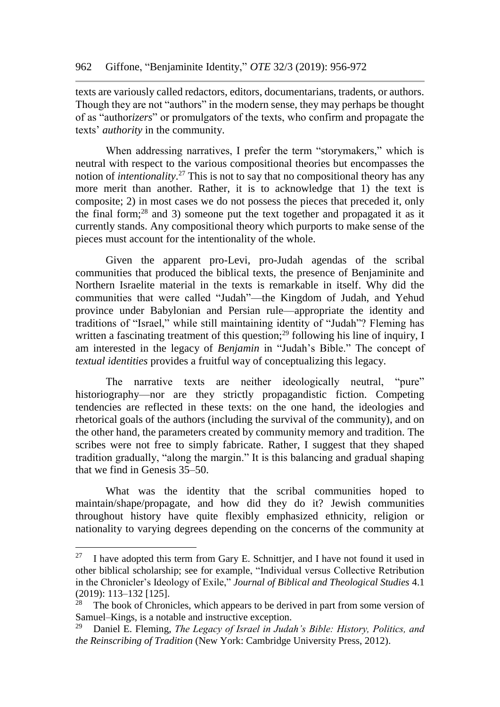texts are variously called redactors, editors, documentarians, tradents, or authors. Though they are not "authors" in the modern sense, they may perhaps be thought of as "author*izers*" or promulgators of the texts, who confirm and propagate the texts' *authority* in the community.

When addressing narratives, I prefer the term "storymakers," which is neutral with respect to the various compositional theories but encompasses the notion of *intentionality*. <sup>27</sup> This is not to say that no compositional theory has any more merit than another. Rather, it is to acknowledge that 1) the text is composite; 2) in most cases we do not possess the pieces that preceded it, only the final form;<sup>28</sup> and 3) someone put the text together and propagated it as it currently stands. Any compositional theory which purports to make sense of the pieces must account for the intentionality of the whole.

Given the apparent pro-Levi, pro-Judah agendas of the scribal communities that produced the biblical texts, the presence of Benjaminite and Northern Israelite material in the texts is remarkable in itself. Why did the communities that were called "Judah"—the Kingdom of Judah, and Yehud province under Babylonian and Persian rule—appropriate the identity and traditions of "Israel," while still maintaining identity of "Judah"? Fleming has written a fascinating treatment of this question;<sup>29</sup> following his line of inquiry, I am interested in the legacy of *Benjamin* in "Judah's Bible." The concept of *textual identities* provides a fruitful way of conceptualizing this legacy.

The narrative texts are neither ideologically neutral, "pure" historiography—nor are they strictly propagandistic fiction. Competing tendencies are reflected in these texts: on the one hand, the ideologies and rhetorical goals of the authors (including the survival of the community), and on the other hand, the parameters created by community memory and tradition. The scribes were not free to simply fabricate. Rather, I suggest that they shaped tradition gradually, "along the margin." It is this balancing and gradual shaping that we find in Genesis 35–50.

What was the identity that the scribal communities hoped to maintain/shape/propagate, and how did they do it? Jewish communities throughout history have quite flexibly emphasized ethnicity, religion or nationality to varying degrees depending on the concerns of the community at

l

<sup>&</sup>lt;sup>27</sup> I have adopted this term from Gary E. Schnittier, and I have not found it used in other biblical scholarship; see for example, "Individual versus Collective Retribution in the Chronicler's Ideology of Exile," *Journal of Biblical and Theological Studies* 4.1 (2019): 113–132 [125].

The book of Chronicles, which appears to be derived in part from some version of Samuel–Kings, is a notable and instructive exception.<br><sup>29</sup> Daniel E. Fleming, *The Legens of Isuand in Legal* 

<sup>29</sup> Daniel E. Fleming, *The Legacy of Israel in Judah's Bible: History, Politics, and the Reinscribing of Tradition* (New York: Cambridge University Press, 2012).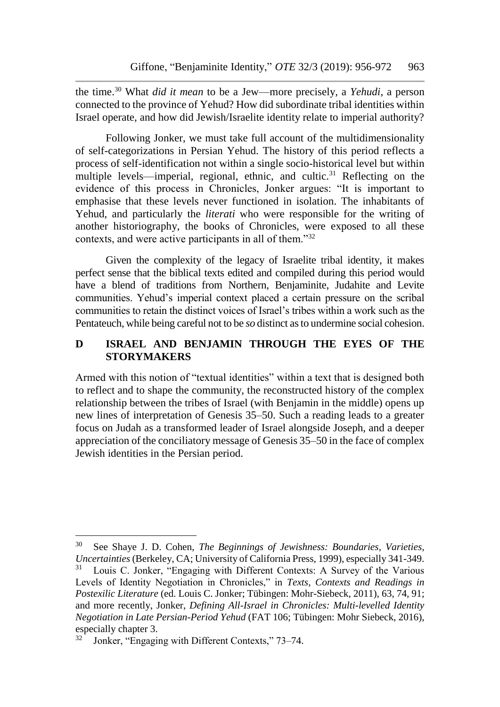the time.<sup>30</sup> What *did it mean* to be a Jew—more precisely, a *Yehudi*, a person connected to the province of Yehud? How did subordinate tribal identities within Israel operate, and how did Jewish/Israelite identity relate to imperial authority?

Following Jonker, we must take full account of the multidimensionality of self-categorizations in Persian Yehud. The history of this period reflects a process of self-identification not within a single socio-historical level but within multiple levels—imperial, regional, ethnic, and cultic.<sup>31</sup> Reflecting on the evidence of this process in Chronicles, Jonker argues: "It is important to emphasise that these levels never functioned in isolation. The inhabitants of Yehud, and particularly the *literati* who were responsible for the writing of another historiography, the books of Chronicles, were exposed to all these contexts, and were active participants in all of them."<sup>32</sup>

Given the complexity of the legacy of Israelite tribal identity, it makes perfect sense that the biblical texts edited and compiled during this period would have a blend of traditions from Northern, Benjaminite, Judahite and Levite communities. Yehud's imperial context placed a certain pressure on the scribal communities to retain the distinct voices of Israel's tribes within a work such as the Pentateuch, while being careful not to be *so* distinct as to undermine social cohesion.

# **D ISRAEL AND BENJAMIN THROUGH THE EYES OF THE STORYMAKERS**

Armed with this notion of "textual identities" within a text that is designed both to reflect and to shape the community, the reconstructed history of the complex relationship between the tribes of Israel (with Benjamin in the middle) opens up new lines of interpretation of Genesis 35–50. Such a reading leads to a greater focus on Judah as a transformed leader of Israel alongside Joseph, and a deeper appreciation of the conciliatory message of Genesis 35–50 in the face of complex Jewish identities in the Persian period.

<sup>30</sup> See Shaye J. D. Cohen, *The Beginnings of Jewishness: Boundaries, Varieties, Uncertainties* (Berkeley, CA; University of California Press, 1999), especially 341-349.<br><sup>31</sup> I ouis C. Jonker, "Engaging with Different Contexts: A Survey of the Various Louis C. Jonker, "Engaging with Different Contexts: A Survey of the Various Levels of Identity Negotiation in Chronicles," in *Texts, Contexts and Readings in Postexilic Literature* (ed. Louis C. Jonker; Tübingen: Mohr-Siebeck, 2011), 63, 74, 91; and more recently, Jonker, *Defining All-Israel in Chronicles: Multi-levelled Identity Negotiation in Late Persian-Period Yehud* (FAT 106; Tübingen: Mohr Siebeck, 2016), especially chapter 3.

Jonker, "Engaging with Different Contexts," 73–74.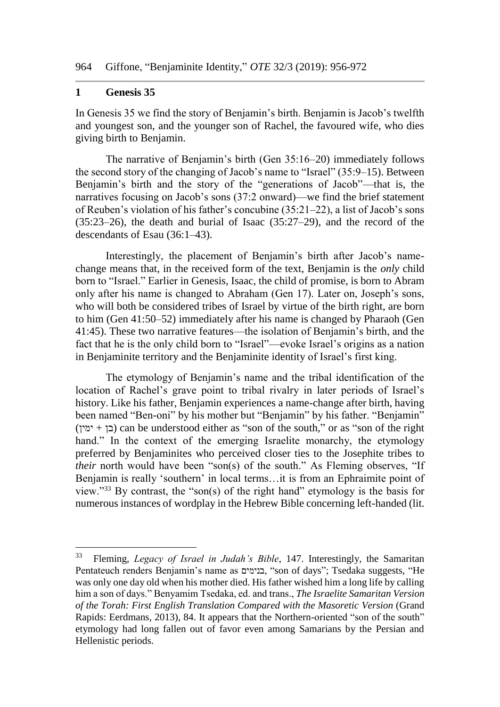#### **1 Genesis 35**

l

In Genesis 35 we find the story of Benjamin's birth. Benjamin is Jacob's twelfth and youngest son, and the younger son of Rachel, the favoured wife, who dies giving birth to Benjamin.

The narrative of Benjamin's birth (Gen 35:16–20) immediately follows the second story of the changing of Jacob's name to "Israel" (35:9–15). Between Benjamin's birth and the story of the "generations of Jacob"—that is, the narratives focusing on Jacob's sons (37:2 onward)—we find the brief statement of Reuben's violation of his father's concubine (35:21–22), a list of Jacob's sons (35:23–26), the death and burial of Isaac (35:27–29), and the record of the descendants of Esau (36:1–43).

Interestingly, the placement of Benjamin's birth after Jacob's namechange means that, in the received form of the text, Benjamin is the *only* child born to "Israel." Earlier in Genesis, Isaac, the child of promise, is born to Abram only after his name is changed to Abraham (Gen 17). Later on, Joseph's sons, who will both be considered tribes of Israel by virtue of the birth right, are born to him (Gen 41:50–52) immediately after his name is changed by Pharaoh (Gen 41:45). These two narrative features—the isolation of Benjamin's birth, and the fact that he is the only child born to "Israel"—evoke Israel's origins as a nation in Benjaminite territory and the Benjaminite identity of Israel's first king.

The etymology of Benjamin's name and the tribal identification of the location of Rachel's grave point to tribal rivalry in later periods of Israel's history. Like his father, Benjamin experiences a name-change after birth, having been named "Ben-oni" by his mother but "Benjamin" by his father. "Benjamin"  $(\text{or } + \text{or } + \text{or } + \text{or } + \text{or } + \text{or } + \text{or } + \text{or } + \text{or } + \text{or } + \text{or } + \text{or } + \text{or } + \text{or } + \text{or } + \text{or } + \text{or } + \text{or } + \text{or } + \text{or } + \text{or } + \text{or } + \text{or } + \text{or } + \text{or } + \text{or } + \text{or } + \text{or } + \text{or } + \text{or } + \text{or } + \text{or } + \text{or } + \text{or } + \text{or } + \text{or } + \text{$ hand." In the context of the emerging Israelite monarchy, the etymology preferred by Benjaminites who perceived closer ties to the Josephite tribes to *their* north would have been "son(s) of the south." As Fleming observes, "If Benjamin is really 'southern' in local terms…it is from an Ephraimite point of view."<sup>33</sup> By contrast, the "son(s) of the right hand" etymology is the basis for numerous instances of wordplay in the Hebrew Bible concerning left-handed (lit.

<sup>33</sup> Fleming, *Legacy of Israel in Judah's Bible*, 147. Interestingly, the Samaritan Pentateuch renders Benjamin's name as בנימים," son of days"; Tsedaka suggests, "He was only one day old when his mother died. His father wished him a long life by calling him a son of days." Benyamim Tsedaka, ed. and trans., *The Israelite Samaritan Version of the Torah: First English Translation Compared with the Masoretic Version* (Grand Rapids: Eerdmans, 2013), 84. It appears that the Northern-oriented "son of the south" etymology had long fallen out of favor even among Samarians by the Persian and Hellenistic periods.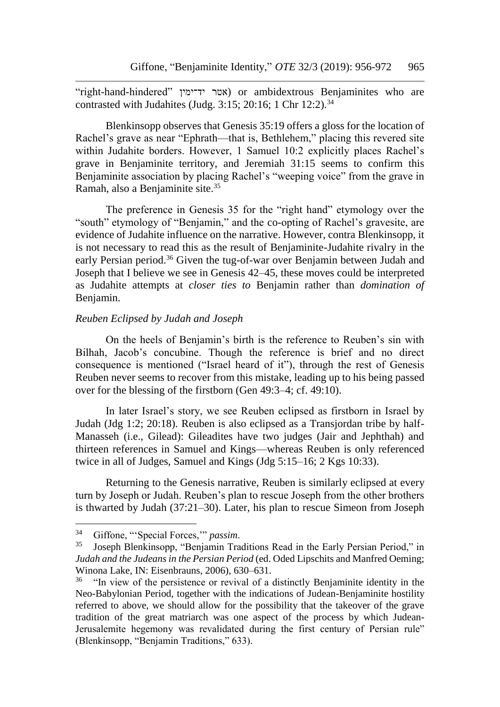"right-hand-hindered" אטר יד־ימין) or ambidextrous Benjaminites who are contrasted with Judahites (Judg. 3:15; 20:16; 1 Chr  $12:2$ ).<sup>34</sup>

Blenkinsopp observes that Genesis 35:19 offers a gloss for the location of Rachel's grave as near "Ephrath—that is, Bethlehem," placing this revered site within Judahite borders. However, 1 Samuel 10:2 explicitly places Rachel's grave in Benjaminite territory, and Jeremiah 31:15 seems to confirm this Benjaminite association by placing Rachel's "weeping voice" from the grave in Ramah, also a Benjaminite site.<sup>35</sup>

The preference in Genesis 35 for the "right hand" etymology over the "south" etymology of "Benjamin," and the co-opting of Rachel's gravesite, are evidence of Judahite influence on the narrative. However, contra Blenkinsopp, it is not necessary to read this as the result of Benjaminite-Judahite rivalry in the early Persian period.<sup>36</sup> Given the tug-of-war over Benjamin between Judah and Joseph that I believe we see in Genesis 42–45, these moves could be interpreted as Judahite attempts at *closer ties to* Benjamin rather than *domination of*  Benjamin.

#### *Reuben Eclipsed by Judah and Joseph*

On the heels of Benjamin's birth is the reference to Reuben's sin with Bilhah, Jacob's concubine. Though the reference is brief and no direct consequence is mentioned ("Israel heard of it"), through the rest of Genesis Reuben never seems to recover from this mistake, leading up to his being passed over for the blessing of the firstborn (Gen 49:3–4; cf. 49:10).

In later Israel's story, we see Reuben eclipsed as firstborn in Israel by Judah (Jdg 1:2; 20:18). Reuben is also eclipsed as a Transjordan tribe by half-Manasseh (i.e., Gilead): Gileadites have two judges (Jair and Jephthah) and thirteen references in Samuel and Kings—whereas Reuben is only referenced twice in all of Judges, Samuel and Kings (Jdg 5:15–16; 2 Kgs 10:33).

Returning to the Genesis narrative, Reuben is similarly eclipsed at every turn by Joseph or Judah. Reuben's plan to rescue Joseph from the other brothers is thwarted by Judah (37:21–30). Later, his plan to rescue Simeon from Joseph

 $34$ <sup>34</sup> Giffone, "'Special Forces,'" *passim*.

<sup>35</sup> Joseph Blenkinsopp, "Benjamin Traditions Read in the Early Persian Period," in *Judah and the Judeans in the Persian Period* (ed. Oded Lipschits and Manfred Oeming; Winona Lake, IN: Eisenbrauns, 2006), 630–631.

<sup>&</sup>lt;sup>36</sup> "In view of the persistence or revival of a distinctly Benjaminite identity in the Neo-Babylonian Period, together with the indications of Judean-Benjaminite hostility referred to above, we should allow for the possibility that the takeover of the grave tradition of the great matriarch was one aspect of the process by which Judean-Jerusalemite hegemony was revalidated during the first century of Persian rule" (Blenkinsopp, "Benjamin Traditions," 633).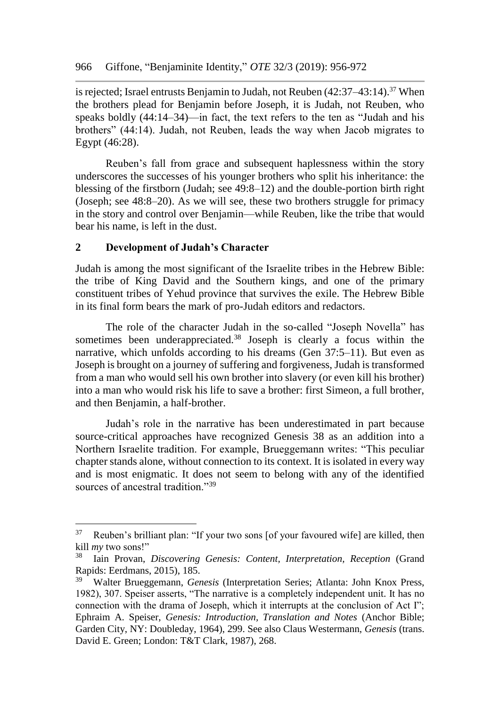is rejected; Israel entrusts Benjamin to Judah, not Reuben (42:37-43:14).<sup>37</sup> When the brothers plead for Benjamin before Joseph, it is Judah, not Reuben, who speaks boldly (44:14–34)—in fact, the text refers to the ten as "Judah and his brothers" (44:14). Judah, not Reuben, leads the way when Jacob migrates to Egypt (46:28).

Reuben's fall from grace and subsequent haplessness within the story underscores the successes of his younger brothers who split his inheritance: the blessing of the firstborn (Judah; see 49:8–12) and the double-portion birth right (Joseph; see 48:8–20). As we will see, these two brothers struggle for primacy in the story and control over Benjamin—while Reuben, like the tribe that would bear his name, is left in the dust.

#### **2 Development of Judah's Character**

 $\overline{a}$ 

Judah is among the most significant of the Israelite tribes in the Hebrew Bible: the tribe of King David and the Southern kings, and one of the primary constituent tribes of Yehud province that survives the exile. The Hebrew Bible in its final form bears the mark of pro-Judah editors and redactors.

The role of the character Judah in the so-called "Joseph Novella" has sometimes been underappreciated.<sup>38</sup> Joseph is clearly a focus within the narrative, which unfolds according to his dreams (Gen 37:5–11). But even as Joseph is brought on a journey of suffering and forgiveness, Judah is transformed from a man who would sell his own brother into slavery (or even kill his brother) into a man who would risk his life to save a brother: first Simeon, a full brother, and then Benjamin, a half-brother.

Judah's role in the narrative has been underestimated in part because source-critical approaches have recognized Genesis 38 as an addition into a Northern Israelite tradition. For example, Brueggemann writes: "This peculiar chapter stands alone, without connection to its context. It is isolated in every way and is most enigmatic. It does not seem to belong with any of the identified sources of ancestral tradition."<sup>39</sup>

 $37$  Reuben's brilliant plan: "If your two sons [of your favoured wife] are killed, then kill *my* two sons!"

<sup>38</sup> Iain Provan, *Discovering Genesis: Content, Interpretation, Reception* (Grand Rapids: Eerdmans, 2015), 185.

<sup>39</sup> Walter Brueggemann, *Genesis* (Interpretation Series; Atlanta: John Knox Press, 1982), 307. Speiser asserts, "The narrative is a completely independent unit. It has no connection with the drama of Joseph, which it interrupts at the conclusion of Act I"; Ephraim A. Speiser, *Genesis: Introduction, Translation and Notes* (Anchor Bible; Garden City, NY: Doubleday, 1964), 299. See also Claus Westermann, *Genesis* (trans. David E. Green; London: T&T Clark, 1987), 268.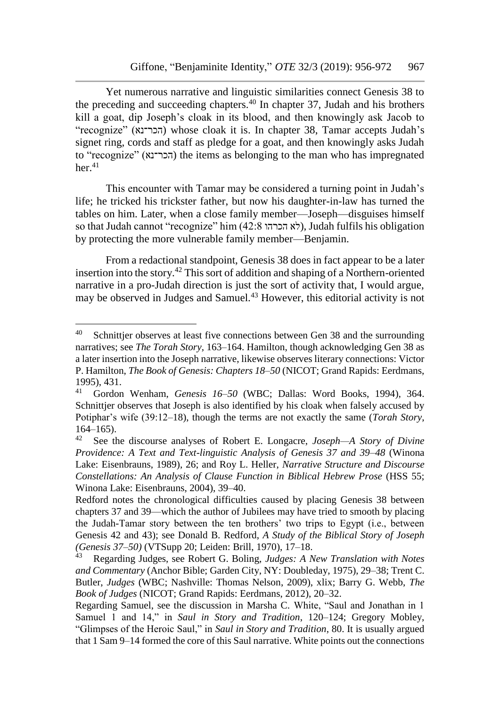Yet numerous narrative and linguistic similarities connect Genesis 38 to the preceding and succeeding chapters.<sup>40</sup> In chapter 37, Judah and his brothers kill a goat, dip Joseph's cloak in its blood, and then knowingly ask Jacob to "recognize" (הכר־נא) whose cloak it is. In chapter 38, Tamar accepts Judah's signet ring, cords and staff as pledge for a goat, and then knowingly asks Judah to "recognize" (הכר־נא) the items as belonging to the man who has impregnated  $her<sup>41</sup>$ 

This encounter with Tamar may be considered a turning point in Judah's life; he tricked his trickster father, but now his daughter-in-law has turned the tables on him. Later, when a close family member—Joseph—disguises himself so that Judah cannot "recognize" him (42:8 הכרהו), Judah fulfils his obligation by protecting the more vulnerable family member—Benjamin.

From a redactional standpoint, Genesis 38 does in fact appear to be a later insertion into the story.<sup>42</sup> This sort of addition and shaping of a Northern-oriented narrative in a pro-Judah direction is just the sort of activity that, I would argue, may be observed in Judges and Samuel.<sup>43</sup> However, this editorial activity is not

l

 $40$  Schnittjer observes at least five connections between Gen 38 and the surrounding narratives; see *The Torah Story*, 163–164. Hamilton, though acknowledging Gen 38 as a later insertion into the Joseph narrative, likewise observes literary connections: Victor P. Hamilton, *The Book of Genesis: Chapters 18–50* (NICOT; Grand Rapids: Eerdmans, 1995), 431.<br><sup>41</sup> Gordon

<sup>41</sup> Gordon Wenham, *Genesis 16–50* (WBC; Dallas: Word Books, 1994), 364. Schnittjer observes that Joseph is also identified by his cloak when falsely accused by Potiphar's wife (39:12–18), though the terms are not exactly the same (*Torah Story*,  $164-165$ ).<br><sup>42</sup> See the

See the discourse analyses of Robert E. Longacre, *Joseph—A Story of Divine Providence: A Text and Text-linguistic Analysis of Genesis 37 and 39–48* (Winona Lake: Eisenbrauns, 1989), 26; and Roy L. Heller, *Narrative Structure and Discourse Constellations: An Analysis of Clause Function in Biblical Hebrew Prose* (HSS 55; Winona Lake: Eisenbrauns, 2004), 39–40.

Redford notes the chronological difficulties caused by placing Genesis 38 between chapters 37 and 39—which the author of Jubilees may have tried to smooth by placing the Judah-Tamar story between the ten brothers' two trips to Egypt (i.e., between Genesis 42 and 43); see Donald B. Redford, *A Study of the Biblical Story of Joseph (Genesis 37–50)* (VTSupp 20; Leiden: Brill, 1970), 17–18.

<sup>43</sup> Regarding Judges, see Robert G. Boling, *Judges: A New Translation with Notes and Commentary* (Anchor Bible; Garden City, NY: Doubleday, 1975), 29–38; Trent C. Butler, *Judges* (WBC; Nashville: Thomas Nelson, 2009), xlix; Barry G. Webb, *The Book of Judges* (NICOT; Grand Rapids: Eerdmans, 2012), 20–32.

Regarding Samuel, see the discussion in Marsha C. White, "Saul and Jonathan in 1 Samuel 1 and 14," in *Saul in Story and Tradition*, 120–124; Gregory Mobley, "Glimpses of the Heroic Saul," in *Saul in Story and Tradition*, 80. It is usually argued that 1 Sam 9–14 formed the core of this Saul narrative. White points out the connections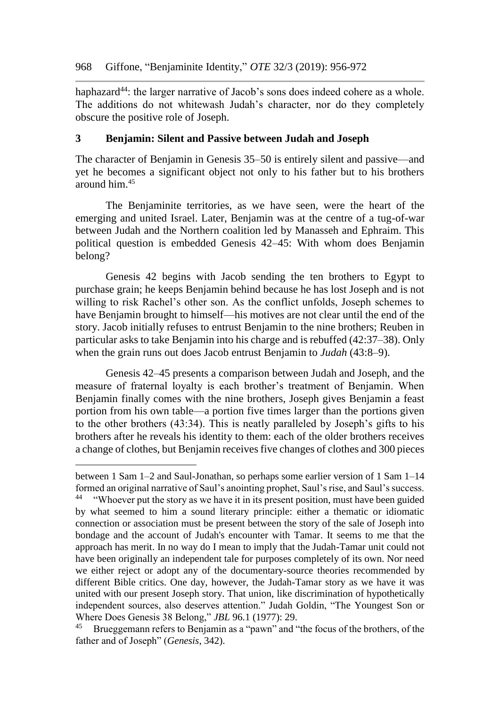haphazard<sup>44</sup>: the larger narrative of Jacob's sons does indeed cohere as a whole. The additions do not whitewash Judah's character, nor do they completely obscure the positive role of Joseph.

#### **3 Benjamin: Silent and Passive between Judah and Joseph**

The character of Benjamin in Genesis 35–50 is entirely silent and passive—and yet he becomes a significant object not only to his father but to his brothers around him.<sup>45</sup>

The Benjaminite territories, as we have seen, were the heart of the emerging and united Israel. Later, Benjamin was at the centre of a tug-of-war between Judah and the Northern coalition led by Manasseh and Ephraim. This political question is embedded Genesis 42–45: With whom does Benjamin belong?

Genesis 42 begins with Jacob sending the ten brothers to Egypt to purchase grain; he keeps Benjamin behind because he has lost Joseph and is not willing to risk Rachel's other son. As the conflict unfolds, Joseph schemes to have Benjamin brought to himself—his motives are not clear until the end of the story. Jacob initially refuses to entrust Benjamin to the nine brothers; Reuben in particular asks to take Benjamin into his charge and is rebuffed (42:37–38). Only when the grain runs out does Jacob entrust Benjamin to *Judah* (43:8–9).

Genesis 42–45 presents a comparison between Judah and Joseph, and the measure of fraternal loyalty is each brother's treatment of Benjamin. When Benjamin finally comes with the nine brothers, Joseph gives Benjamin a feast portion from his own table—a portion five times larger than the portions given to the other brothers (43:34). This is neatly paralleled by Joseph's gifts to his brothers after he reveals his identity to them: each of the older brothers receives a change of clothes, but Benjamin receives five changes of clothes and 300 pieces

between 1 Sam 1–2 and Saul-Jonathan, so perhaps some earlier version of 1 Sam 1–14 formed an original narrative of Saul's anointing prophet, Saul's rise, and Saul's success.

<sup>&</sup>lt;sup>44</sup> "Whoever put the story as we have it in its present position, must have been guided by what seemed to him a sound literary principle: either a thematic or idiomatic connection or association must be present between the story of the sale of Joseph into bondage and the account of Judah's encounter with Tamar. It seems to me that the approach has merit. In no way do I mean to imply that the Judah-Tamar unit could not have been originally an independent tale for purposes completely of its own. Nor need we either reject or adopt any of the documentary-source theories recommended by different Bible critics. One day, however, the Judah-Tamar story as we have it was united with our present Joseph story. That union, like discrimination of hypothetically independent sources, also deserves attention." Judah Goldin, "The Youngest Son or Where Does Genesis 38 Belong," *JBL* 96.1 (1977): 29.

Brueggemann refers to Benjamin as a "pawn" and "the focus of the brothers, of the father and of Joseph" (*Genesis*, 342).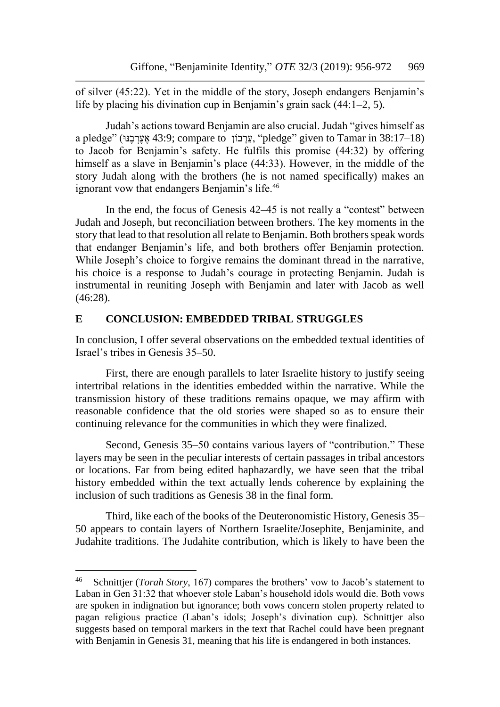of silver (45:22). Yet in the middle of the story, Joseph endangers Benjamin's life by placing his divination cup in Benjamin's grain sack (44:1–2, 5).

Judah's actions toward Benjamin are also crucial. Judah "gives himself as a pledge" (אָעֲרָבֶנּוּ 43:9; compare to עֲרָבוֹן "pledge" given to Tamar in 38:17–18) to Jacob for Benjamin's safety. He fulfils this promise (44:32) by offering himself as a slave in Benjamin's place (44:33). However, in the middle of the story Judah along with the brothers (he is not named specifically) makes an ignorant vow that endangers Benjamin's life.<sup>46</sup>

In the end, the focus of Genesis 42–45 is not really a "contest" between Judah and Joseph, but reconciliation between brothers. The key moments in the story that lead to that resolution all relate to Benjamin. Both brothers speak words that endanger Benjamin's life, and both brothers offer Benjamin protection. While Joseph's choice to forgive remains the dominant thread in the narrative, his choice is a response to Judah's courage in protecting Benjamin. Judah is instrumental in reuniting Joseph with Benjamin and later with Jacob as well (46:28).

## **E CONCLUSION: EMBEDDED TRIBAL STRUGGLES**

In conclusion, I offer several observations on the embedded textual identities of Israel's tribes in Genesis 35–50.

First, there are enough parallels to later Israelite history to justify seeing intertribal relations in the identities embedded within the narrative. While the transmission history of these traditions remains opaque, we may affirm with reasonable confidence that the old stories were shaped so as to ensure their continuing relevance for the communities in which they were finalized.

Second, Genesis 35–50 contains various layers of "contribution." These layers may be seen in the peculiar interests of certain passages in tribal ancestors or locations. Far from being edited haphazardly, we have seen that the tribal history embedded within the text actually lends coherence by explaining the inclusion of such traditions as Genesis 38 in the final form.

Third, like each of the books of the Deuteronomistic History, Genesis 35– 50 appears to contain layers of Northern Israelite/Josephite, Benjaminite, and Judahite traditions. The Judahite contribution, which is likely to have been the

<sup>46</sup> Schnittjer (*Torah Story*, 167) compares the brothers' vow to Jacob's statement to Laban in Gen 31:32 that whoever stole Laban's household idols would die. Both vows are spoken in indignation but ignorance; both vows concern stolen property related to pagan religious practice (Laban's idols; Joseph's divination cup). Schnittjer also suggests based on temporal markers in the text that Rachel could have been pregnant with Benjamin in Genesis 31, meaning that his life is endangered in both instances.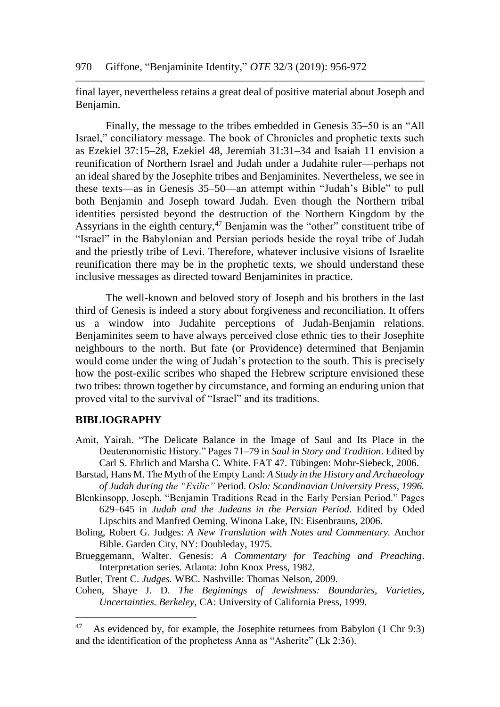final layer, nevertheless retains a great deal of positive material about Joseph and Benjamin.

Finally, the message to the tribes embedded in Genesis 35–50 is an "All Israel," conciliatory message. The book of Chronicles and prophetic texts such as Ezekiel 37:15–28, Ezekiel 48, Jeremiah 31:31–34 and Isaiah 11 envision a reunification of Northern Israel and Judah under a Judahite ruler—perhaps not an ideal shared by the Josephite tribes and Benjaminites. Nevertheless, we see in these texts—as in Genesis 35–50—an attempt within "Judah's Bible" to pull both Benjamin and Joseph toward Judah. Even though the Northern tribal identities persisted beyond the destruction of the Northern Kingdom by the Assyrians in the eighth century,<sup>47</sup> Benjamin was the "other" constituent tribe of "Israel" in the Babylonian and Persian periods beside the royal tribe of Judah and the priestly tribe of Levi. Therefore, whatever inclusive visions of Israelite reunification there may be in the prophetic texts, we should understand these inclusive messages as directed toward Benjaminites in practice.

The well-known and beloved story of Joseph and his brothers in the last third of Genesis is indeed a story about forgiveness and reconciliation. It offers us a window into Judahite perceptions of Judah-Benjamin relations. Benjaminites seem to have always perceived close ethnic ties to their Josephite neighbours to the north. But fate (or Providence) determined that Benjamin would come under the wing of Judah's protection to the south. This is precisely how the post-exilic scribes who shaped the Hebrew scripture envisioned these two tribes: thrown together by circumstance, and forming an enduring union that proved vital to the survival of "Israel" and its traditions.

#### **BIBLIOGRAPHY**

l

- Amit, Yairah. "The Delicate Balance in the Image of Saul and Its Place in the Deuteronomistic History." Pages 71–79 in *Saul in Story and Tradition*. Edited by Carl S. Ehrlich and Marsha C. White. FAT 47. Tübingen: Mohr-Siebeck, 2006.
- Barstad, Hans M. The Myth of the Empty Land: *A Study in the History and Archaeology of Judah during the "Exilic"* Period. *Oslo: Scandinavian University Press, 1996.*
- Blenkinsopp, Joseph. "Benjamin Traditions Read in the Early Persian Period." Pages 629–645 in *Judah and the Judeans in the Persian Period*. Edited by Oded Lipschits and Manfred Oeming. Winona Lake, IN: Eisenbrauns, 2006.
- Boling, Robert G. Judges: *A New Translation with Notes and Commentary.* Anchor Bible. Garden City, NY: Doubleday, 1975.
- Brueggemann, Walter. Genesis: *A Commentary for Teaching and Preaching*. Interpretation series. Atlanta: John Knox Press, 1982.

Butler, Trent C. *Judges.* WBC. Nashville: Thomas Nelson, 2009.

Cohen, Shaye J. D. *The Beginnings of Jewishness: Boundaries, Varieties, Uncertainties. Berkeley,* CA: University of California Press, 1999.

<sup>&</sup>lt;sup>47</sup> As evidenced by, for example, the Josephite returnees from Babylon  $(1 \text{ Chr } 9:3)$ and the identification of the prophetess Anna as "Asherite" (Lk 2:36).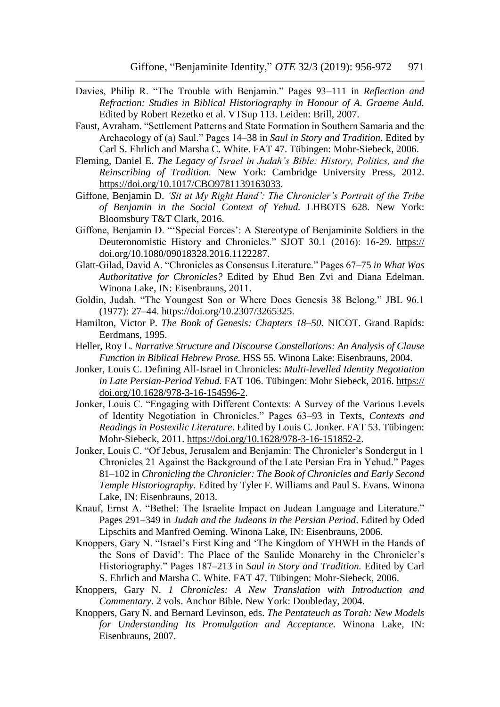- Davies, Philip R. "The Trouble with Benjamin." Pages 93–111 in *Reflection and Refraction: Studies in Biblical Historiography in Honour of A. Graeme Auld.* Edited by Robert Rezetko et al. VTSup 113. Leiden: Brill, 2007.
- Faust, Avraham. "Settlement Patterns and State Formation in Southern Samaria and the Archaeology of (a) Saul." Pages 14–38 in *Saul in Story and Tradition*. Edited by Carl S. Ehrlich and Marsha C. White. FAT 47. Tübingen: Mohr-Siebeck, 2006.
- Fleming, Daniel E. *The Legacy of Israel in Judah's Bible: History, Politics, and the Reinscribing of Tradition.* New York: Cambridge University Press, 2012. [https://doi.org/10.1017/CBO9781139163033.](https://doi.org/10.1017/CBO9781139163033)
- Giffone, Benjamin D. *'Sit at My Right Hand': The Chronicler's Portrait of the Tribe of Benjamin in the Social Context of Yehud.* LHBOTS 628. New York: Bloomsbury T&T Clark, 2016.
- Giffone, Benjamin D. "'Special Forces': A Stereotype of Benjaminite Soldiers in the Deuteronomistic History and Chronicles." SJOT 30.1 (2016): 16-29. https:// doi.org/10.1080/09018328.2016.1122287.
- Glatt-Gilad, David A. "Chronicles as Consensus Literature." Pages 67–75 *in What Was Authoritative for Chronicles?* Edited by Ehud Ben Zvi and Diana Edelman. Winona Lake, IN: Eisenbrauns, 2011.
- Goldin, Judah. "The Youngest Son or Where Does Genesis 38 Belong." JBL 96.1 (1977): 27–44. [https://doi.org/10.2307/3265325.](https://doi.org/10.2307/3265325)
- Hamilton, Victor P. *The Book of Genesis: Chapters 18–50.* NICOT. Grand Rapids: Eerdmans, 1995.
- Heller, Roy L. *Narrative Structure and Discourse Constellations: An Analysis of Clause Function in Biblical Hebrew Prose.* HSS 55. Winona Lake: Eisenbrauns, 2004.
- Jonker, Louis C. Defining All-Israel in Chronicles: *Multi-levelled Identity Negotiation in Late Persian-Period Yehud.* FAT 106. Tübingen: Mohr Siebeck, 2016. https:// doi.org/10.1628/978-3-16-154596-2.
- Jonker, Louis C. "Engaging with Different Contexts: A Survey of the Various Levels of Identity Negotiation in Chronicles." Pages 63–93 in Texts, *Contexts and Readings in Postexilic Literature*. Edited by Louis C. Jonker. FAT 53. Tübingen: Mohr-Siebeck, 2011. [https://doi.org/10.1628/978-3-16-151852-2.](https://doi.org/10.1628/978-3-16-151852-2)
- Jonker, Louis C. "Of Jebus, Jerusalem and Benjamin: The Chronicler's Sondergut in 1 Chronicles 21 Against the Background of the Late Persian Era in Yehud." Pages 81–102 in *Chronicling the Chronicler: The Book of Chronicles and Early Second Temple Historiography.* Edited by Tyler F. Williams and Paul S. Evans. Winona Lake, IN: Eisenbrauns, 2013.
- Knauf, Ernst A. "Bethel: The Israelite Impact on Judean Language and Literature." Pages 291–349 in *Judah and the Judeans in the Persian Period*. Edited by Oded Lipschits and Manfred Oeming. Winona Lake, IN: Eisenbrauns, 2006.
- Knoppers, Gary N. "Israel's First King and 'The Kingdom of YHWH in the Hands of the Sons of David': The Place of the Saulide Monarchy in the Chronicler's Historiography." Pages 187–213 in *Saul in Story and Tradition.* Edited by Carl S. Ehrlich and Marsha C. White. FAT 47. Tübingen: Mohr-Siebeck, 2006.
- Knoppers, Gary N. *1 Chronicles: A New Translation with Introduction and Commentary*. 2 vols. Anchor Bible. New York: Doubleday, 2004.
- Knoppers, Gary N. and Bernard Levinson, eds. *The Pentateuch as Torah: New Models for Understanding Its Promulgation and Acceptance.* Winona Lake, IN: Eisenbrauns, 2007.